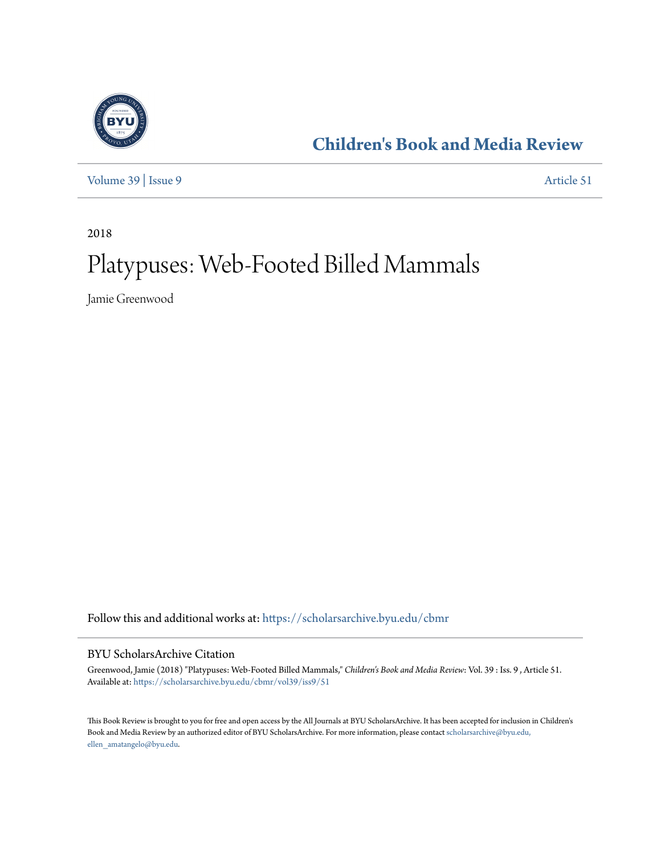

**[Children's Book and Media Review](https://scholarsarchive.byu.edu/cbmr?utm_source=scholarsarchive.byu.edu%2Fcbmr%2Fvol39%2Fiss9%2F51&utm_medium=PDF&utm_campaign=PDFCoverPages)**

[Volume 39](https://scholarsarchive.byu.edu/cbmr/vol39?utm_source=scholarsarchive.byu.edu%2Fcbmr%2Fvol39%2Fiss9%2F51&utm_medium=PDF&utm_campaign=PDFCoverPages) | [Issue 9](https://scholarsarchive.byu.edu/cbmr/vol39/iss9?utm_source=scholarsarchive.byu.edu%2Fcbmr%2Fvol39%2Fiss9%2F51&utm_medium=PDF&utm_campaign=PDFCoverPages) [Article 51](https://scholarsarchive.byu.edu/cbmr/vol39/iss9/51?utm_source=scholarsarchive.byu.edu%2Fcbmr%2Fvol39%2Fiss9%2F51&utm_medium=PDF&utm_campaign=PDFCoverPages)

2018

# Platypuses: Web-Footed Billed Mammals

Jamie Greenwood

Follow this and additional works at: [https://scholarsarchive.byu.edu/cbmr](https://scholarsarchive.byu.edu/cbmr?utm_source=scholarsarchive.byu.edu%2Fcbmr%2Fvol39%2Fiss9%2F51&utm_medium=PDF&utm_campaign=PDFCoverPages)

#### BYU ScholarsArchive Citation

Greenwood, Jamie (2018) "Platypuses: Web-Footed Billed Mammals," *Children's Book and Media Review*: Vol. 39 : Iss. 9 , Article 51. Available at: [https://scholarsarchive.byu.edu/cbmr/vol39/iss9/51](https://scholarsarchive.byu.edu/cbmr/vol39/iss9/51?utm_source=scholarsarchive.byu.edu%2Fcbmr%2Fvol39%2Fiss9%2F51&utm_medium=PDF&utm_campaign=PDFCoverPages)

This Book Review is brought to you for free and open access by the All Journals at BYU ScholarsArchive. It has been accepted for inclusion in Children's Book and Media Review by an authorized editor of BYU ScholarsArchive. For more information, please contact [scholarsarchive@byu.edu,](mailto:scholarsarchive@byu.edu,%20ellen_amatangelo@byu.edu) [ellen\\_amatangelo@byu.edu.](mailto:scholarsarchive@byu.edu,%20ellen_amatangelo@byu.edu)